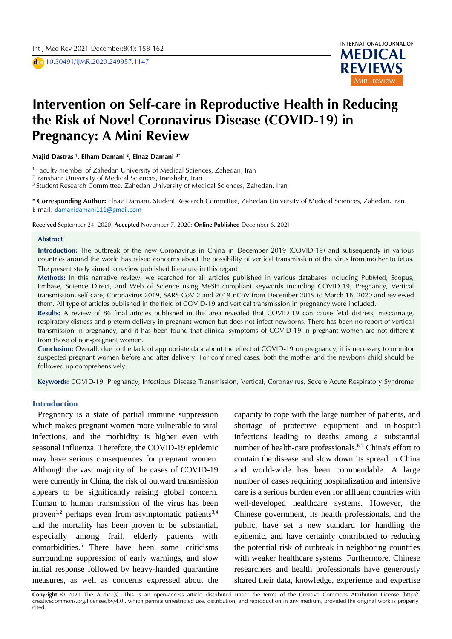D **doi** 10.30491/IJMR.2020.249957.1147



# **Intervention on Self-care in Reproductive Health in Reducing** D the Risk of Novel Coronavirus Disease (COVID-19) in S D **Pregnancy: A Mini Review**

**Majid Dastras <sup>1</sup> , Elham Damani <sup>2</sup> , Elnaz Damani 3\***

<sup>1</sup> Faculty member of Zahedan University of Medical Sciences, Zahedan, Iran

2 Iranshahr University of Medical Sciences, Iranshahr, Iran

<sup>3</sup> Student Research Committee, Zahedan University of Medical Sciences, Zahedan, Iran

**\* Corresponding Author:** Elnaz Damani, Student Research Committee, Zahedan University of Medical Sciences, Zahedan, Iran. E-mail: [damanidamani111@gmail.com](mailto:damanidamani111@gmail.com) 

**Received** September 24, 2020; **Accepted** November 7, 2020; **Online Published** December 6, 2021

#### **Abstract**

**Introduction:** The outbreak of the new Coronavirus in China in December 2019 (COVID-19) and subsequently in various countries around the world has raised concerns about the possibility of vertical transmission of the virus from mother to fetus. The present study aimed to review published literature in this regard.

**Methods:** In this narrative review, we searched for all articles published in various databases including PubMed, Scopus, Embase, Science Direct, and Web of Science using MeSH-compliant keywords including COVID-19, Pregnancy, Vertical transmission, self-care, Coronavirus 2019, SARS-CoV-2 and 2019-nCoV from December 2019 to March 18, 2020 and reviewed them. All type of articles published in the field of COVID-19 and vertical transmission in pregnancy were included.

**Results:** A review of 86 final articles published in this area revealed that COVID-19 can cause fetal distress, miscarriage, respiratory distress and preterm delivery in pregnant women but does not infect newborns. There has been no report of vertical transmission in pregnancy, and it has been found that clinical symptoms of COVID-19 in pregnant women are not different from those of non-pregnant women.

**Conclusion:** Overall, due to the lack of appropriate data about the effect of COVID-19 on pregnancy, it is necessary to monitor suspected pregnant women before and after delivery. For confirmed cases, both the mother and the newborn child should be followed up comprehensively.

**Keywords:** COVID-19, Pregnancy, Infectious Disease Transmission, Vertical, Coronavirus, Severe Acute Respiratory Syndrome

### **Introduction**

Pregnancy is a state of partial immune suppression which makes pregnant women more vulnerable to viral infections, and the morbidity is higher even with seasonal influenza. Therefore, the COVID-19 epidemic may have serious consequences for pregnant women. Although the vast majority of the cases of COVID-19 were currently in China, the risk of outward transmission appears to be significantly raising global concern. Human to human transmission of the virus has been proven<sup>1,2</sup> perhaps even from asymptomatic patients<sup>3,4</sup> and the mortality has been proven to be substantial, especially among frail, elderly patients with comorbidities. <sup>5</sup> There have been some criticisms surrounding suppression of early warnings, and slow initial response followed by heavy-handed quarantine measures, as well as concerns expressed about the

capacity to cope with the large number of patients, and shortage of protective equipment and in-hospital infections leading to deaths among a substantial number of health-care professionals.<sup>6,7</sup> China's effort to contain the disease and slow down its spread in China and world-wide has been commendable. A large number of cases requiring hospitalization and intensive care is a serious burden even for affluent countries with well-developed healthcare systems. However, the Chinese government, its health professionals, and the public, have set a new standard for handling the epidemic, and have certainly contributed to reducing the potential risk of outbreak in neighboring countries with weaker healthcare systems. Furthermore, Chinese researchers and health professionals have generously shared their data, knowledge, experience and expertise

**Copyright** © 2021 The Author(s). This is an open-access article distributed under the terms of the Creative Commons Attribution License (http:// creativecommons.org/licenses/by/4.0), which permits unrestricted use, distribution, and reproduction in any medium, provided the original work is properly cited.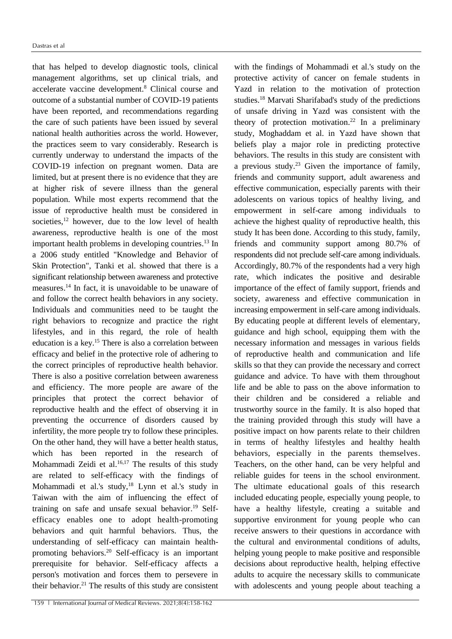that has helped to develop diagnostic tools, clinical management algorithms, set up clinical trials, and accelerate vaccine development. <sup>8</sup> Clinical course and outcome of a substantial number of COVID-19 patients have been reported, and recommendations regarding the care of such patients have been issued by several national health authorities across the world. However, the practices seem to vary considerably. Research is currently underway to understand the impacts of the COVID-19 infection on pregnant women. Data are limited, but at present there is no evidence that they are at higher risk of severe illness than the general population. While most experts recommend that the issue of reproductive health must be considered in societies, <sup>12</sup> however, due to the low level of health awareness, reproductive health is one of the most important health problems in developing countries. <sup>13</sup> In a 2006 study entitled "Knowledge and Behavior of Skin Protection", Tanki et al. showed that there is a significant relationship between awareness and protective measures. <sup>14</sup> In fact, it is unavoidable to be unaware of and follow the correct health behaviors in any society. Individuals and communities need to be taught the right behaviors to recognize and practice the right lifestyles, and in this regard, the role of health education is a key.<sup>15</sup> There is also a correlation between efficacy and belief in the protective role of adhering to the correct principles of reproductive health behavior. There is also a positive correlation between awareness and efficiency. The more people are aware of the principles that protect the correct behavior of reproductive health and the effect of observing it in preventing the occurrence of disorders caused by infertility, the more people try to follow these principles. On the other hand, they will have a better health status, which has been reported in the research of Mohammadi Zeidi et al.<sup>16,17</sup> The results of this study are related to self-efficacy with the findings of Mohammadi et al.'s study,<sup>18</sup> Lynn et al.'s study in Taiwan with the aim of influencing the effect of training on safe and unsafe sexual behavior. <sup>19</sup> Selfefficacy enables one to adopt health-promoting behaviors and quit harmful behaviors. Thus, the understanding of self-efficacy can maintain healthpromoting behaviors. <sup>20</sup> Self-efficacy is an important prerequisite for behavior. Self-efficacy affects a person's motivation and forces them to persevere in their behavior. <sup>21</sup> The results of this study are consistent with the findings of Mohammadi et al.'s study on the protective activity of cancer on female students in Yazd in relation to the motivation of protection studies. <sup>18</sup> Marvati Sharifabad's study of the predictions of unsafe driving in Yazd was consistent with the theory of protection motivation. <sup>22</sup> In a preliminary study, Moghaddam et al. in Yazd have shown that beliefs play a major role in predicting protective behaviors. The results in this study are consistent with a previous study. <sup>23</sup> Given the importance of family, friends and community support, adult awareness and effective communication, especially parents with their adolescents on various topics of healthy living, and empowerment in self-care among individuals to achieve the highest quality of reproductive health, this study It has been done. According to this study, family, friends and community support among 80.7% of respondents did not preclude self-care among individuals. Accordingly, 80.7% of the respondents had a very high rate, which indicates the positive and desirable importance of the effect of family support, friends and society, awareness and effective communication in increasing empowerment in self-care among individuals. By educating people at different levels of elementary, guidance and high school, equipping them with the necessary information and messages in various fields of reproductive health and communication and life skills so that they can provide the necessary and correct guidance and advice. To have with them throughout life and be able to pass on the above information to their children and be considered a reliable and trustworthy source in the family. It is also hoped that the training provided through this study will have a positive impact on how parents relate to their children in terms of healthy lifestyles and healthy health behaviors, especially in the parents themselves. Teachers, on the other hand, can be very helpful and reliable guides for teens in the school environment. The ultimate educational goals of this research included educating people, especially young people, to have a healthy lifestyle, creating a suitable and supportive environment for young people who can receive answers to their questions in accordance with the cultural and environmental conditions of adults, helping young people to make positive and responsible decisions about reproductive health, helping effective adults to acquire the necessary skills to communicate with adolescents and young people about teaching a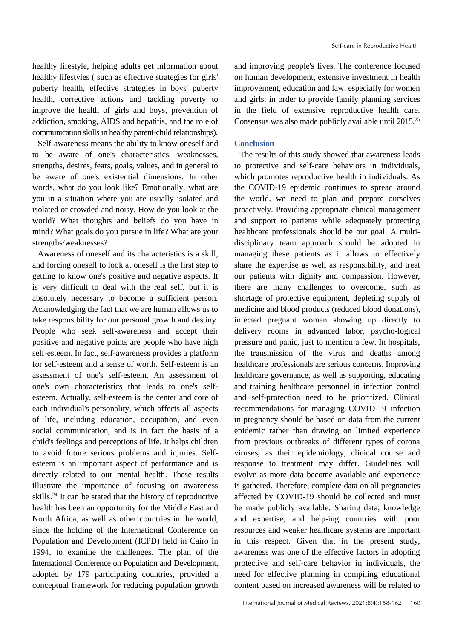healthy lifestyle, helping adults get information about healthy lifestyles ( such as effective strategies for girls' puberty health, effective strategies in boys' puberty health, corrective actions and tackling poverty to improve the health of girls and boys, prevention of addiction, smoking, AIDS and hepatitis, and the role of communication skills in healthy parent-child relationships).

Self-awareness means the ability to know oneself and to be aware of one's characteristics, weaknesses, strengths, desires, fears, goals, values, and in general to be aware of one's existential dimensions. In other words, what do you look like? Emotionally, what are you in a situation where you are usually isolated and isolated or crowded and noisy. How do you look at the world? What thoughts and beliefs do you have in mind? What goals do you pursue in life? What are your strengths/weaknesses?

Awareness of oneself and its characteristics is a skill, and forcing oneself to look at oneself is the first step to getting to know one's positive and negative aspects. It is very difficult to deal with the real self, but it is absolutely necessary to become a sufficient person. Acknowledging the fact that we are human allows us to take responsibility for our personal growth and destiny. People who seek self-awareness and accept their positive and negative points are people who have high self-esteem. In fact, self-awareness provides a platform for self-esteem and a sense of worth. Self-esteem is an assessment of one's self-esteem. An assessment of one's own characteristics that leads to one's selfesteem. Actually, self-esteem is the center and core of each individual's personality, which affects all aspects of life, including education, occupation, and even social communication, and is in fact the basis of a child's feelings and perceptions of life. It helps children to avoid future serious problems and injuries. Selfesteem is an important aspect of performance and is directly related to our mental health. These results illustrate the importance of focusing on awareness skills.<sup>24</sup> It can be stated that the history of reproductive health has been an opportunity for the Middle East and North Africa, as well as other countries in the world, since the holding of the International Conference on Population and Development (ICPD) held in Cairo in 1994, to examine the challenges. The plan of the International Conference on Population and Development, adopted by 179 participating countries, provided a conceptual framework for reducing population growth

and improving people's lives. The conference focused on human development, extensive investment in health improvement, education and law, especially for women and girls, in order to provide family planning services in the field of extensive reproductive health care. Consensus was also made publicly available until 2015. 25

## **Conclusion**

The results of this study showed that awareness leads to protective and self-care behaviors in individuals, which promotes reproductive health in individuals. As the COVID-19 epidemic continues to spread around the world, we need to plan and prepare ourselves proactively. Providing appropriate clinical management and support to patients while adequately protecting healthcare professionals should be our goal. A multidisciplinary team approach should be adopted in managing these patients as it allows to effectively share the expertise as well as responsibility, and treat our patients with dignity and compassion. However, there are many challenges to overcome, such as shortage of protective equipment, depleting supply of medicine and blood products (reduced blood donations), infected pregnant women showing up directly to delivery rooms in advanced labor, psycho-logical pressure and panic, just to mention a few. In hospitals, the transmission of the virus and deaths among healthcare professionals are serious concerns. Improving healthcare governance, as well as supporting, educating and training healthcare personnel in infection control and self-protection need to be prioritized. Clinical recommendations for managing COVID-19 infection in pregnancy should be based on data from the current epidemic rather than drawing on limited experience from previous outbreaks of different types of corona viruses, as their epidemiology, clinical course and response to treatment may differ. Guidelines will evolve as more data become available and experience is gathered. Therefore, complete data on all pregnancies affected by COVID-19 should be collected and must be made publicly available. Sharing data, knowledge and expertise, and help-ing countries with poor resources and weaker healthcare systems are important in this respect. Given that in the present study, awareness was one of the effective factors in adopting protective and self-care behavior in individuals, the need for effective planning in compiling educational content based on increased awareness will be related to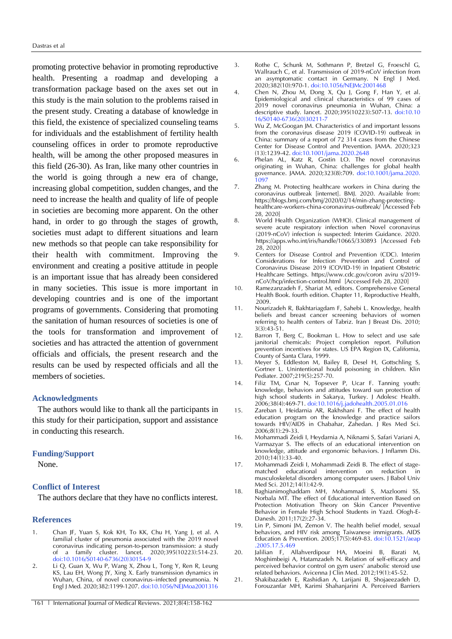promoting protective behavior in promoting reproductive health. Presenting a roadmap and developing a transformation package based on the axes set out in this study is the main solution to the problems raised in the present study. Creating a database of knowledge in this field, the existence of specialized counseling teams for individuals and the establishment of fertility health counseling offices in order to promote reproductive health, will be among the other proposed measures in this field (26-30). As Iran, like many other countries in the world is going through a new era of change, increasing global competition, sudden changes, and the need to increase the health and quality of life of people in societies are becoming more apparent. On the other hand, in order to go through the stages of growth, societies must adapt to different situations and learn new methods so that people can take responsibility for their health with commitment. Improving the environment and creating a positive attitude in people is an important issue that has already been considered in many societies. This issue is more important in developing countries and is one of the important programs of governments. Considering that promoting the sanitation of human resources of societies is one of the tools for transformation and improvement of societies and has attracted the attention of government officials and officials, the present research and the results can be used by respected officials and all the members of societies.

#### **Acknowledgments**

The authors would like to thank all the participants in this study for their participation, support and assistance in conducting this research.

#### **Funding/Support**

None.

# **Conflict of Interest**

The authors declare that they have no conflicts interest.

### **References**

- 1. Chan JF, Yuan S, Kok KH, To KK, Chu H, Yang J, et al. A familial cluster of pneumonia associated with the 2019 novel coronavirus indicating person-to-person transmission: a study of a family cluster. lancet. 2020;395(10223):514-23. [doi:10.1016/S0140-6736\(20\)30154-9](https://doi.org/10.1016/S0140-6736(20)30154-9)
- 2. Li Q, Guan X, Wu P, Wang X, Zhou L, Tong Y, Ren R, Leung KS, Lau EH, Wong JY, Xing X. Early transmission dynamics in Wuhan, China, of novel coronavirus–infected pneumonia. N Engl J Med. 2020;382:1199-1207. doi:10.1056/NEJMoa2001316
- 3. Rothe C, Schunk M, Sothmann P, Bretzel G, Froeschl G, Wallrauch C, et al. Transmission of 2019-nCoV infection from an asymptomatic contact in Germany. N Engl J Med. 2020;382(10):970-1. doi:10.1056/NEJMc2001468
- 4. Chen N, Zhou M, Dong X, Qu J, Gong F, Han Y, et al. Epidemiological and clinical characteristics of 99 cases of 2019 novel coronavirus pneumonia in Wuhan, China: a descriptive study. lancet. 2020;395(10223):507-13. [doi:10.10](https://doi.org/10.1016/S0140-6736(20)30211-7) [16/S0140-6736\(20\)30211-7](https://doi.org/10.1016/S0140-6736(20)30211-7)
- 5. Wu Z, McGoogan JM. Characteristics of and important lessons from the coronavirus disease 2019 (COVID-19) outbreak in China: summary of a report of 72 314 cases from the Chinese Center for Disease Control and Prevention. JAMA. 2020;323 (13):1239-42. doi:10.1001/jama.2020.2648
- 6. Phelan AL, Katz R, Gostin LO. The novel coronavirus originating in Wuhan, China: challenges for global health governance. JAMA. 2020;323(8):709. [doi:10.1001/jama.2020.](https://doi.org/10.1001/jama.2020.1097) [1097](https://doi.org/10.1001/jama.2020.1097)
- 7. Zhang M. Protecting healthcare workers in China during the coronavirus outbreak [internet]. BMJ. 2020. Available from: [https://blogs.bmj.com/bmj/2020/02/14/min-zhang-protecting](https://blogs.bmj.com/bmj/2020/02/14/min-zhang-protecting-healthcare-workers-china-coronavirus-outbreak/)[healthcare-workers-china-coronavirus-outbreak/](https://blogs.bmj.com/bmj/2020/02/14/min-zhang-protecting-healthcare-workers-china-coronavirus-outbreak/) [Accessed Feb 28, 2020]
- 8. World Health Organization (WHO). Clinical management of severe acute respiratory infection when Novel coronavirus (2019-nCoV) infection is suspected: Interim Guidance. 2020. <https://apps.who.int/iris/handle/10665/330893> [Accessed Feb 28, 2020]
- 9. Centers for Disease Control and Prevention (CDC). Interim Considerations for Infection Prevention and Control of Coronavirus Disease 2019 (COVID-19) in Inpatient Obstetric Healthcare Settings. [https://www.cdc.gov/coron aviru s/2019](https://www.cdc.gov/coron%20aviru%20s/2019-nCoV/hcp/infection-control.html) [nCoV/hcp/infection-control.html](https://www.cdc.gov/coron%20aviru%20s/2019-nCoV/hcp/infection-control.html) [Accessed Feb 28, 2020]
- 10. Ramezanzadeh F, Shariat M, editors. Comprehensive General Health Book. fourth edition. Chapter 11, Reproductive Health, 2009.
- 11. Nourizadeh R, Bakhtariagdam F, Sahebi L. Knowledge, health beliefs and breast cancer screening behaviors of women referring to health centers of Tabriz. Iran J Breast Dis. 2010;  $3(3):43-51$ .
- 12. Barron T, Berg C, Bookman L. How to select and use safe janitorial chemicals: Project completion report. Pollution prevention incentives for states. US EPA Region IX, California, County of Santa Clara, 1999.
- 13. Meyer S, Eddleston M, Bailey B, Desel H, Gottschling S, Gortner L. Unintentional hould poisoning in children. Klin Pediater. 2007;219(5):257-70.
- 14. Filiz TM, Cınar N, Topsever P, Ucar F. Tanning youth: knowledge, behaviors and attitudes toward sun protection of high school students in Sakarya, Turkey. J Adolesc Health. 2006;38(4):469-71. [doi:10.1016/j.jadohealth.2005.01.016](https://doi.org/10.1016/j.jadohealth.2005.01.016)
- 15. Zareban I, Heidarnia AR, Rakhshani F. The effect of health education program on the knowledge and practice sailors towards HIV/AIDS in Chabahar, Zahedan. J Res Med Sci. 2006;8(1):29-33.
- 16. Mohammadi Zeidi I, Heydarnia A, Niknami S, Safari Variani A, Varmazyar S. The effects of an educational intervention on knowledge, attitude and ergonomic behaviors. J Inflamm Dis. 2010;14(1):33-40.
- 17. Mohammadi Zeidi I, Mohammadi Zeidi B. The effect of stageeducational intervention on reduction in musculoskeletal disorders among computer users. J Babol Univ Med Sci. 2012;14(1):42-9.
- 18. Baghianimoghaddam MH, Mohammadi S, Mazloomi SS, Norbala MT. The effect of Educational intervention Based on Protection Motivation Theory on Skin Cancer Preventive Behavior in Female High School Students in Yazd. Ofogh-E-Danesh. 2011;17(2):27-34.
- 19. Lin P, Simoni JM, Zemon V. The health belief model, sexual behaviors, and HIV risk among Taiwanese immigrants. AIDS Education & Prevention. 2005;17(5):469-83. [doi:10.1521/aeap](https://doi.org/10.1521/aeap.2005.17.5.469) [.2005.17.5.469](https://doi.org/10.1521/aeap.2005.17.5.469)
- 20. Jalilian F, Allahverdipour HA, Moeini B, Barati M, Moghimbeigi A, Hatamzadeh N. Relation of self-efficacy and perceived behavior control on gym users' anabolic steroid use related behaviors. Avicenna J Clin Med. 2012;19(1):45-52.
- 21. Shakibazadeh E, Rashidian A, Larijani B, Shojaeezadeh D, Forouzanfar MH, Karimi Shahanjarini A. Perceived Barriers